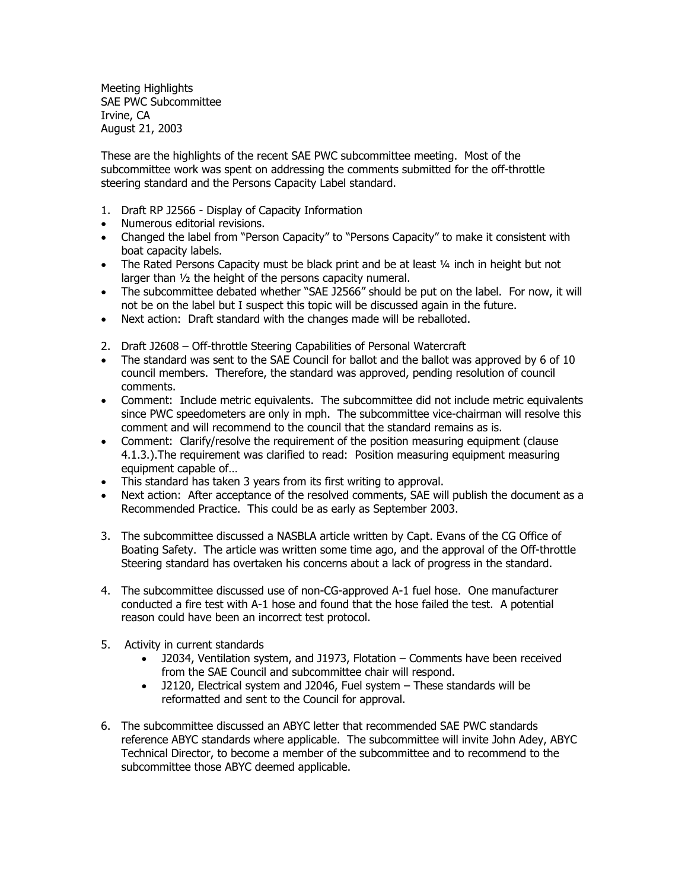Meeting Highlights SAE PWC Subcommittee Irvine, CA August 21, 2003

These are the highlights of the recent SAE PWC subcommittee meeting. Most of the subcommittee work was spent on addressing the comments submitted for the off-throttle steering standard and the Persons Capacity Label standard.

- 1. Draft RP J2566 Display of Capacity Information
- Numerous editorial revisions.
- Changed the label from "Person Capacity" to "Persons Capacity" to make it consistent with boat capacity labels.
- The Rated Persons Capacity must be black print and be at least  $\frac{1}{4}$  inch in height but not larger than ½ the height of the persons capacity numeral.
- The subcommittee debated whether "SAE J2566" should be put on the label. For now, it will not be on the label but I suspect this topic will be discussed again in the future.
- Next action: Draft standard with the changes made will be reballoted.
- 2. Draft J2608 Off-throttle Steering Capabilities of Personal Watercraft
- The standard was sent to the SAE Council for ballot and the ballot was approved by 6 of 10 council members. Therefore, the standard was approved, pending resolution of council comments.
- Comment: Include metric equivalents. The subcommittee did not include metric equivalents since PWC speedometers are only in mph. The subcommittee vice-chairman will resolve this comment and will recommend to the council that the standard remains as is.
- Comment: Clarify/resolve the requirement of the position measuring equipment (clause 4.1.3.).The requirement was clarified to read: Position measuring equipment measuring equipment capable of…
- This standard has taken 3 years from its first writing to approval.
- Next action: After acceptance of the resolved comments, SAE will publish the document as a Recommended Practice. This could be as early as September 2003.
- 3. The subcommittee discussed a NASBLA article written by Capt. Evans of the CG Office of Boating Safety. The article was written some time ago, and the approval of the Off-throttle Steering standard has overtaken his concerns about a lack of progress in the standard.
- 4. The subcommittee discussed use of non-CG-approved A-1 fuel hose. One manufacturer conducted a fire test with A-1 hose and found that the hose failed the test. A potential reason could have been an incorrect test protocol.
- 5. Activity in current standards
	- J2034, Ventilation system, and J1973, Flotation Comments have been received from the SAE Council and subcommittee chair will respond.
	- J2120, Electrical system and J2046, Fuel system These standards will be reformatted and sent to the Council for approval.
- 6. The subcommittee discussed an ABYC letter that recommended SAE PWC standards reference ABYC standards where applicable. The subcommittee will invite John Adey, ABYC Technical Director, to become a member of the subcommittee and to recommend to the subcommittee those ABYC deemed applicable.